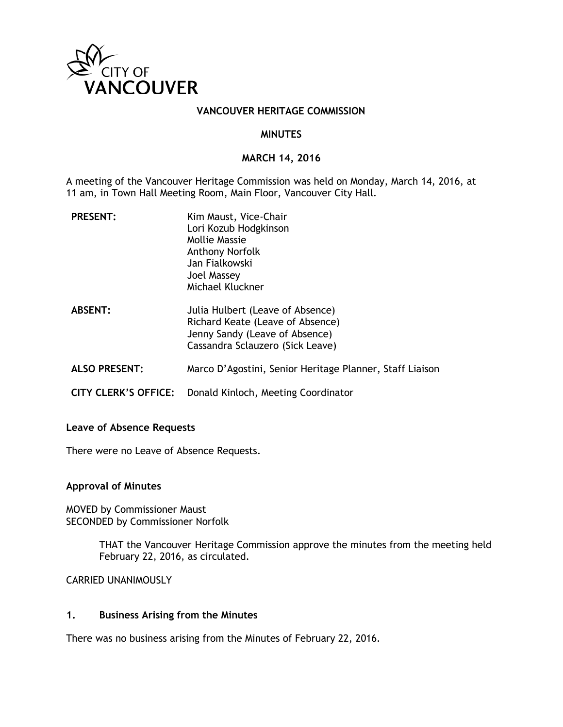

### **VANCOUVER HERITAGE COMMISSION**

### **MINUTES**

## **MARCH 14, 2016**

A meeting of the Vancouver Heritage Commission was held on Monday, March 14, 2016, at 11 am, in Town Hall Meeting Room, Main Floor, Vancouver City Hall.

| <b>PRESENT:</b>             | Kim Maust, Vice-Chair<br>Lori Kozub Hodgkinson<br>Mollie Massie<br><b>Anthony Norfolk</b><br>Jan Fialkowski<br>Joel Massey<br>Michael Kluckner |
|-----------------------------|------------------------------------------------------------------------------------------------------------------------------------------------|
| <b>ABSENT:</b>              | Julia Hulbert (Leave of Absence)<br>Richard Keate (Leave of Absence)<br>Jenny Sandy (Leave of Absence)<br>Cassandra Sclauzero (Sick Leave)     |
| <b>ALSO PRESENT:</b>        | Marco D'Agostini, Senior Heritage Planner, Staff Liaison                                                                                       |
| <b>CITY CLERK'S OFFICE:</b> | Donald Kinloch, Meeting Coordinator                                                                                                            |

#### **Leave of Absence Requests**

There were no Leave of Absence Requests.

#### **Approval of Minutes**

MOVED by Commissioner Maust SECONDED by Commissioner Norfolk

> THAT the Vancouver Heritage Commission approve the minutes from the meeting held February 22, 2016, as circulated.

CARRIED UNANIMOUSLY

## **1. Business Arising from the Minutes**

There was no business arising from the Minutes of February 22, 2016.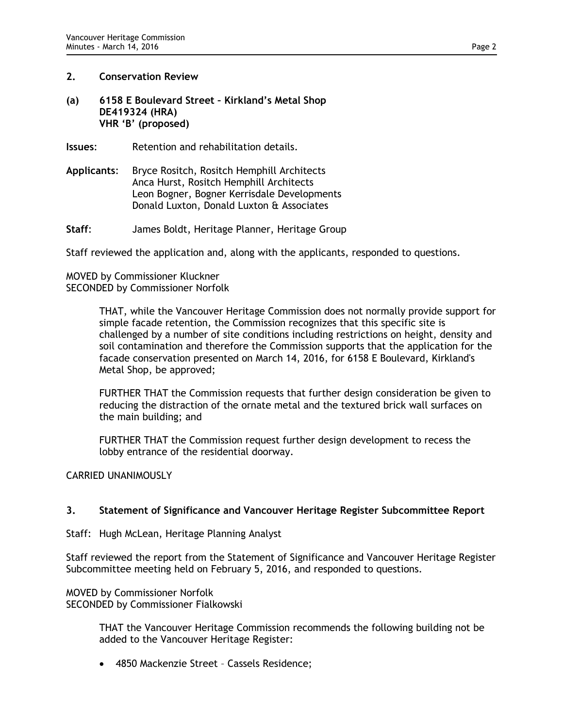## **2. Conservation Review**

## **(a) 6158 E Boulevard Street – Kirkland's Metal Shop DE419324 (HRA) VHR 'B' (proposed)**

**Issues:** Retention and rehabilitation details.

**Applicants**: Bryce Rositch, Rositch Hemphill Architects Anca Hurst, Rositch Hemphill Architects Leon Bogner, Bogner Kerrisdale Developments Donald Luxton, Donald Luxton & Associates

**Staff**: James Boldt, Heritage Planner, Heritage Group

Staff reviewed the application and, along with the applicants, responded to questions.

# MOVED by Commissioner Kluckner SECONDED by Commissioner Norfolk

THAT, while the Vancouver Heritage Commission does not normally provide support for simple facade retention, the Commission recognizes that this specific site is challenged by a number of site conditions including restrictions on height, density and soil contamination and therefore the Commission supports that the application for the facade conservation presented on March 14, 2016, for 6158 E Boulevard, Kirkland's Metal Shop, be approved;

FURTHER THAT the Commission requests that further design consideration be given to reducing the distraction of the ornate metal and the textured brick wall surfaces on the main building; and

FURTHER THAT the Commission request further design development to recess the lobby entrance of the residential doorway.

CARRIED UNANIMOUSLY

# **3. Statement of Significance and Vancouver Heritage Register Subcommittee Report**

Staff: Hugh McLean, Heritage Planning Analyst

Staff reviewed the report from the Statement of Significance and Vancouver Heritage Register Subcommittee meeting held on February 5, 2016, and responded to questions.

MOVED by Commissioner Norfolk SECONDED by Commissioner Fialkowski

> THAT the Vancouver Heritage Commission recommends the following building not be added to the Vancouver Heritage Register:

• 4850 Mackenzie Street – Cassels Residence;